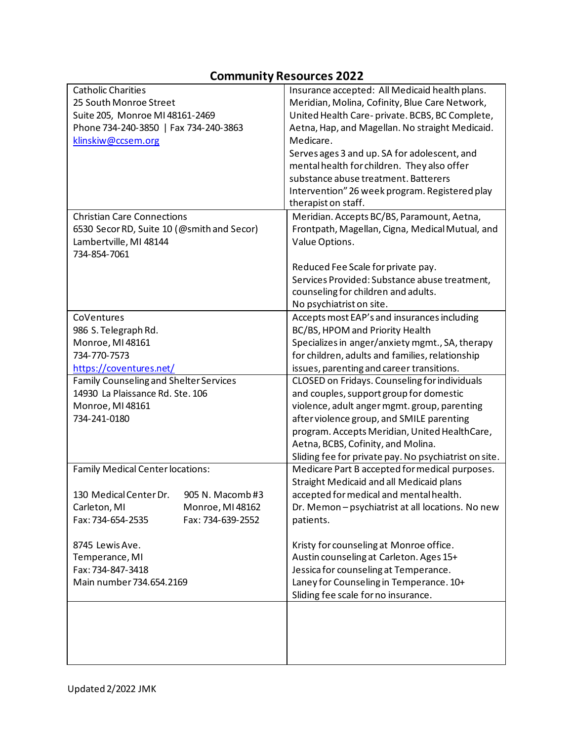### **Community Resources 2022**

| <b>Catholic Charities</b>                     | Insurance accepted: All Medicaid health plans.        |
|-----------------------------------------------|-------------------------------------------------------|
| 25 South Monroe Street                        | Meridian, Molina, Cofinity, Blue Care Network,        |
| Suite 205, Monroe MI 48161-2469               | United Health Care-private. BCBS, BC Complete,        |
| Phone 734-240-3850   Fax 734-240-3863         | Aetna, Hap, and Magellan. No straight Medicaid.       |
| klinskiw@ccsem.org                            | Medicare.                                             |
|                                               | Serves ages 3 and up. SA for adolescent, and          |
|                                               | mental health for children. They also offer           |
|                                               | substance abuse treatment. Batterers                  |
|                                               | Intervention" 26 week program. Registered play        |
|                                               | therapist on staff.                                   |
| <b>Christian Care Connections</b>             | Meridian. Accepts BC/BS, Paramount, Aetna,            |
| 6530 Secor RD, Suite 10 (@smith and Secor)    | Frontpath, Magellan, Cigna, Medical Mutual, and       |
| Lambertville, MI 48144                        | Value Options.                                        |
| 734-854-7061                                  |                                                       |
|                                               | Reduced Fee Scale for private pay.                    |
|                                               | Services Provided: Substance abuse treatment,         |
|                                               | counseling for children and adults.                   |
|                                               | No psychiatrist on site.                              |
| CoVentures                                    | Accepts most EAP's and insurances including           |
| 986 S. Telegraph Rd.                          | BC/BS, HPOM and Priority Health                       |
| Monroe, MI 48161                              | Specializes in anger/anxiety mgmt., SA, therapy       |
| 734-770-7573                                  | for children, adults and families, relationship       |
| https://coventures.net/                       | issues, parenting and career transitions.             |
| <b>Family Counseling and Shelter Services</b> | CLOSED on Fridays. Counseling for individuals         |
| 14930 La Plaissance Rd. Ste. 106              | and couples, support group for domestic               |
| Monroe, MI 48161                              | violence, adult anger mgmt. group, parenting          |
| 734-241-0180                                  | after violence group, and SMILE parenting             |
|                                               | program. Accepts Meridian, United HealthCare,         |
|                                               | Aetna, BCBS, Cofinity, and Molina.                    |
|                                               | Sliding fee for private pay. No psychiatrist on site. |
| <b>Family Medical Center locations:</b>       | Medicare Part B accepted for medical purposes.        |
|                                               | <b>Straight Medicaid and all Medicaid plans</b>       |
| 130 Medical Center Dr.<br>905 N. Macomb #3    | accepted for medical and mental health.               |
| Carleton, MI<br>Monroe, MI 48162              | Dr. Memon-psychiatrist at all locations. No new       |
| Fax: 734-654-2535<br>Fax: 734-639-2552        | patients.                                             |
|                                               |                                                       |
| 8745 Lewis Ave.                               | Kristy for counseling at Monroe office.               |
| Temperance, MI                                | Austin counseling at Carleton. Ages 15+               |
| Fax: 734-847-3418                             | Jessica for counseling at Temperance.                 |
| Main number 734.654.2169                      | Laney for Counseling in Temperance. 10+               |
|                                               | Sliding fee scale for no insurance.                   |
|                                               |                                                       |
|                                               |                                                       |
|                                               |                                                       |
|                                               |                                                       |
|                                               |                                                       |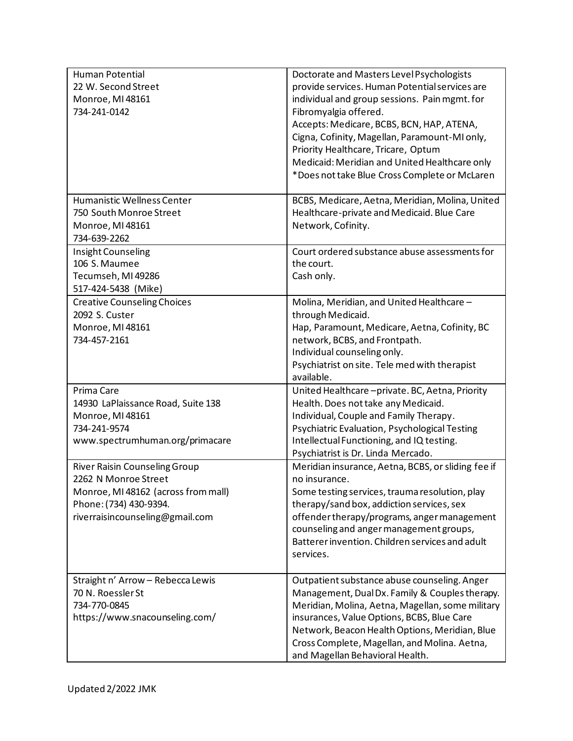| <b>Human Potential</b><br>22 W. Second Street<br>Monroe, MI 48161<br>734-241-0142                                                                                | Doctorate and Masters Level Psychologists<br>provide services. Human Potential services are<br>individual and group sessions. Pain mgmt. for<br>Fibromyalgia offered.<br>Accepts: Medicare, BCBS, BCN, HAP, ATENA,<br>Cigna, Cofinity, Magellan, Paramount-MI only,<br>Priority Healthcare, Tricare, Optum<br>Medicaid: Meridian and United Healthcare only<br>*Does not take Blue Cross Complete or McLaren |
|------------------------------------------------------------------------------------------------------------------------------------------------------------------|--------------------------------------------------------------------------------------------------------------------------------------------------------------------------------------------------------------------------------------------------------------------------------------------------------------------------------------------------------------------------------------------------------------|
| Humanistic Wellness Center<br>750 South Monroe Street<br>Monroe, MI 48161<br>734-639-2262                                                                        | BCBS, Medicare, Aetna, Meridian, Molina, United<br>Healthcare-private and Medicaid. Blue Care<br>Network, Cofinity.                                                                                                                                                                                                                                                                                          |
| Insight Counseling<br>106 S. Maumee<br>Tecumseh, MI 49286<br>517-424-5438 (Mike)                                                                                 | Court ordered substance abuse assessments for<br>the court.<br>Cash only.                                                                                                                                                                                                                                                                                                                                    |
| <b>Creative Counseling Choices</b><br>2092 S. Custer<br>Monroe, MI 48161<br>734-457-2161                                                                         | Molina, Meridian, and United Healthcare-<br>through Medicaid.<br>Hap, Paramount, Medicare, Aetna, Cofinity, BC<br>network, BCBS, and Frontpath.<br>Individual counseling only.<br>Psychiatrist on site. Tele med with therapist<br>available.                                                                                                                                                                |
| Prima Care<br>14930 LaPlaissance Road, Suite 138<br>Monroe, MI 48161<br>734-241-9574<br>www.spectrumhuman.org/primacare                                          | United Healthcare-private. BC, Aetna, Priority<br>Health. Does not take any Medicaid.<br>Individual, Couple and Family Therapy.<br>Psychiatric Evaluation, Psychological Testing<br>Intellectual Functioning, and IQ testing.<br>Psychiatrist is Dr. Linda Mercado.                                                                                                                                          |
| <b>River Raisin Counseling Group</b><br>2262 N Monroe Street<br>Monroe, MI 48162 (across from mall)<br>Phone: (734) 430-9394.<br>riverraisincounseling@gmail.com | Meridian insurance, Aetna, BCBS, or sliding fee if<br>no insurance.<br>Some testing services, trauma resolution, play<br>therapy/sand box, addiction services, sex<br>offender therapy/programs, anger management<br>counseling and anger management groups,<br>Batterer invention. Children services and adult<br>services.                                                                                 |
| Straight n' Arrow - Rebecca Lewis<br>70 N. Roessler St<br>734-770-0845<br>https://www.snacounseling.com/                                                         | Outpatient substance abuse counseling. Anger<br>Management, Dual Dx. Family & Couples therapy.<br>Meridian, Molina, Aetna, Magellan, some military<br>insurances, Value Options, BCBS, Blue Care<br>Network, Beacon Health Options, Meridian, Blue<br>Cross Complete, Magellan, and Molina. Aetna,<br>and Magellan Behavioral Health.                                                                        |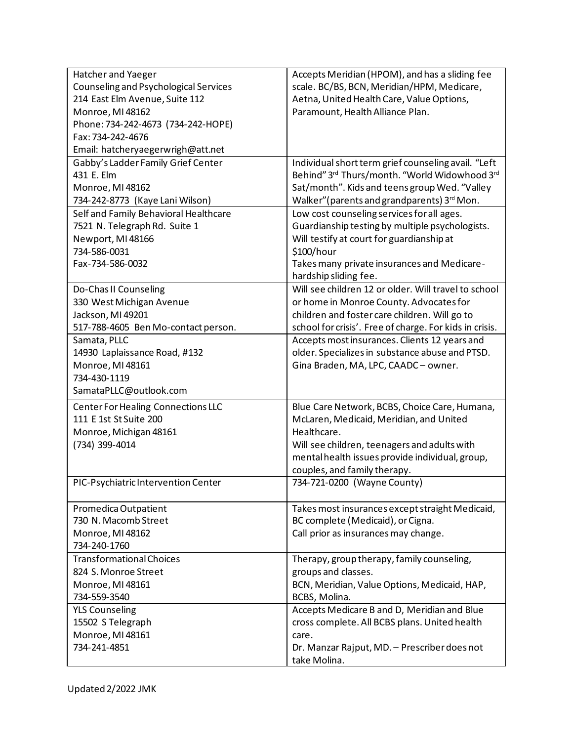| Hatcher and Yaeger                    | Accepts Meridian (HPOM), and has a sliding fee          |
|---------------------------------------|---------------------------------------------------------|
| Counseling and Psychological Services | scale. BC/BS, BCN, Meridian/HPM, Medicare,              |
| 214 East Elm Avenue, Suite 112        | Aetna, United Health Care, Value Options,               |
| Monroe, MI 48162                      | Paramount, Health Alliance Plan.                        |
| Phone: 734-242-4673 (734-242-HOPE)    |                                                         |
| Fax: 734-242-4676                     |                                                         |
| Email: hatcheryaegerwrigh@att.net     |                                                         |
| Gabby's Ladder Family Grief Center    | Individual short term grief counseling avail. "Left     |
| 431 E. Elm                            | Behind" 3rd Thurs/month. "World Widowhood 3rd           |
| Monroe, MI 48162                      | Sat/month". Kids and teens group Wed. "Valley           |
| 734-242-8773 (Kaye Lani Wilson)       | Walker" (parents and grandparents) 3rd Mon.             |
| Self and Family Behavioral Healthcare | Low cost counseling services for all ages.              |
| 7521 N. Telegraph Rd. Suite 1         | Guardianship testing by multiple psychologists.         |
| Newport, MI 48166                     | Will testify at court for guardianship at               |
| 734-586-0031                          | \$100/hour                                              |
| Fax-734-586-0032                      | Takes many private insurances and Medicare-             |
|                                       | hardship sliding fee.                                   |
| Do-Chas II Counseling                 | Will see children 12 or older. Will travel to school    |
| 330 West Michigan Avenue              | or home in Monroe County. Advocates for                 |
| Jackson, MI 49201                     | children and foster care children. Will go to           |
| 517-788-4605 Ben Mo-contact person.   | school for crisis'. Free of charge. For kids in crisis. |
| Samata, PLLC                          | Accepts most insurances. Clients 12 years and           |
| 14930 Laplaissance Road, #132         | older. Specializes in substance abuse and PTSD.         |
| Monroe, MI 48161                      | Gina Braden, MA, LPC, CAADC - owner.                    |
| 734-430-1119                          |                                                         |
| SamataPLLC@outlook.com                |                                                         |
| Center For Healing Connections LLC    | Blue Care Network, BCBS, Choice Care, Humana,           |
| 111 E 1st St Suite 200                | McLaren, Medicaid, Meridian, and United                 |
| Monroe, Michigan 48161                | Healthcare.                                             |
| (734) 399-4014                        | Will see children, teenagers and adults with            |
|                                       | mental health issues provide individual, group,         |
|                                       | couples, and family therapy.                            |
| PIC-Psychiatric Intervention Center   | 734-721-0200 (Wayne County)                             |
| Promedica Outpatient                  | Takes most insurances except straight Medicaid,         |
| 730 N. Macomb Street                  | BC complete (Medicaid), or Cigna.                       |
| Monroe, MI 48162                      | Call prior as insurances may change.                    |
| 734-240-1760                          |                                                         |
| <b>Transformational Choices</b>       | Therapy, group therapy, family counseling,              |
| 824 S. Monroe Street                  | groups and classes.                                     |
| Monroe, MI 48161                      | BCN, Meridian, Value Options, Medicaid, HAP,            |
| 734-559-3540                          | BCBS, Molina.                                           |
| <b>YLS Counseling</b>                 | Accepts Medicare B and D, Meridian and Blue             |
| 15502 S Telegraph                     | cross complete. All BCBS plans. United health           |
| Monroe, MI 48161                      | care.                                                   |
| 734-241-4851                          | Dr. Manzar Rajput, MD. - Prescriber does not            |
|                                       | take Molina.                                            |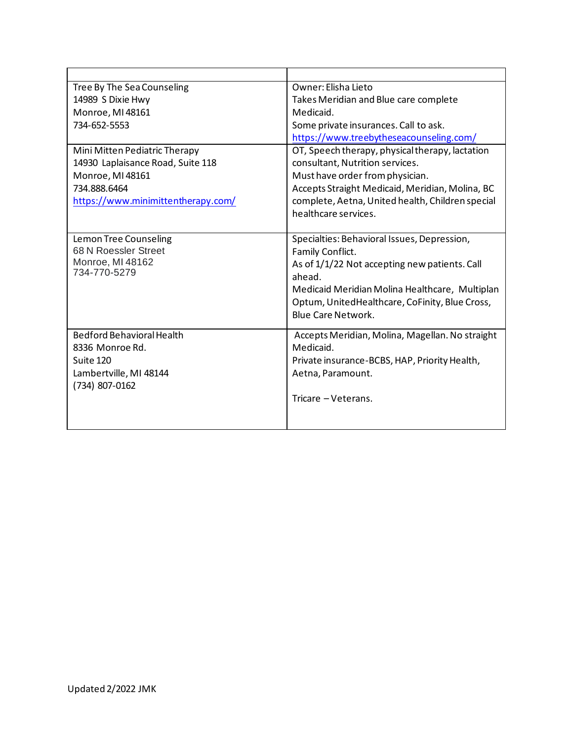| Tree By The Sea Counseling         | Owner: Elisha Lieto                                          |
|------------------------------------|--------------------------------------------------------------|
| 14989 S Dixie Hwy                  | Takes Meridian and Blue care complete                        |
| Monroe, MI 48161                   | Medicaid.                                                    |
| 734-652-5553                       | Some private insurances. Call to ask.                        |
|                                    | https://www.treebytheseacounseling.com/                      |
| Mini Mitten Pediatric Therapy      | OT, Speech therapy, physical therapy, lactation              |
| 14930 Laplaisance Road, Suite 118  | consultant, Nutrition services.                              |
| Monroe, MI 48161                   | Must have order from physician.                              |
| 734.888.6464                       | Accepts Straight Medicaid, Meridian, Molina, BC              |
| https://www.minimittentherapy.com/ | complete, Aetna, United health, Children special             |
|                                    | healthcare services.                                         |
|                                    |                                                              |
| Lemon Tree Counseling              | Specialties: Behavioral Issues, Depression,                  |
| 68 N Roessler Street               | Family Conflict.                                             |
| Monroe, MI 48162                   | As of 1/1/22 Not accepting new patients. Call                |
| 734-770-5279                       | ahead.                                                       |
|                                    | Medicaid Meridian Molina Healthcare, Multiplan               |
|                                    | Optum, UnitedHealthcare, CoFinity, Blue Cross,               |
|                                    | <b>Blue Care Network.</b>                                    |
| <b>Bedford Behavioral Health</b>   |                                                              |
| 8336 Monroe Rd.                    | Accepts Meridian, Molina, Magellan. No straight<br>Medicaid. |
| Suite 120                          |                                                              |
|                                    | Private insurance-BCBS, HAP, Priority Health,                |
| Lambertville, MI 48144             | Aetna, Paramount.                                            |
| (734) 807-0162                     | Tricare - Veterans.                                          |
|                                    |                                                              |
|                                    |                                                              |
|                                    |                                                              |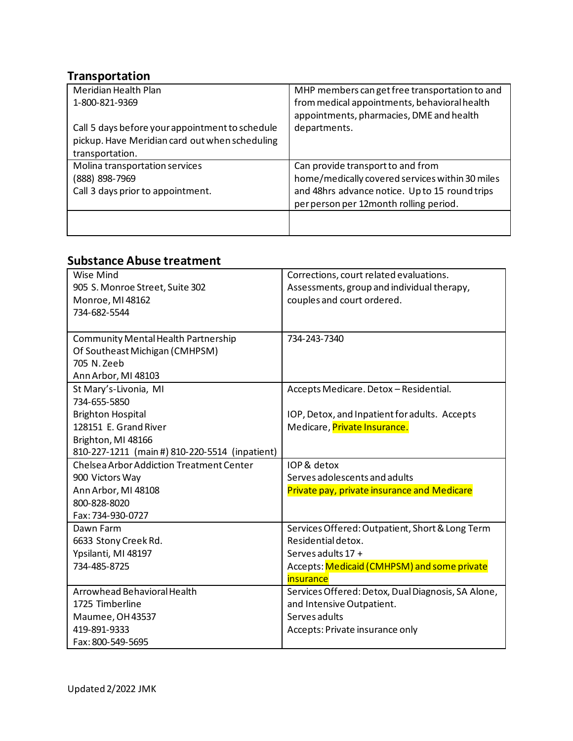### **Transportation**

| Meridian Health Plan                            | MHP members can get free transportation to and  |
|-------------------------------------------------|-------------------------------------------------|
| 1-800-821-9369                                  | from medical appointments, behavioral health    |
|                                                 | appointments, pharmacies, DME and health        |
| Call 5 days before your appointment to schedule | departments.                                    |
| pickup. Have Meridian card out when scheduling  |                                                 |
| transportation.                                 |                                                 |
| Molina transportation services                  | Can provide transport to and from               |
| (888) 898-7969                                  | home/medically covered services within 30 miles |
| Call 3 days prior to appointment.               | and 48hrs advance notice. Up to 15 round trips  |
|                                                 | per person per 12month rolling period.          |
|                                                 |                                                 |
|                                                 |                                                 |

## **Substance Abuse treatment**

| Wise Mind                                      | Corrections, court related evaluations.            |
|------------------------------------------------|----------------------------------------------------|
| 905 S. Monroe Street, Suite 302                | Assessments, group and individual therapy,         |
| Monroe, MI 48162                               | couples and court ordered.                         |
| 734-682-5544                                   |                                                    |
|                                                |                                                    |
| Community Mental Health Partnership            | 734-243-7340                                       |
| Of Southeast Michigan (CMHPSM)                 |                                                    |
| 705 N. Zeeb                                    |                                                    |
| Ann Arbor, MI 48103                            |                                                    |
| St Mary's-Livonia, MI                          | Accepts Medicare. Detox - Residential.             |
| 734-655-5850                                   |                                                    |
| <b>Brighton Hospital</b>                       | IOP, Detox, and Inpatient for adults. Accepts      |
| 128151 E. Grand River                          | Medicare, Private Insurance.                       |
| Brighton, MI 48166                             |                                                    |
| 810-227-1211 (main #) 810-220-5514 (inpatient) |                                                    |
| Chelsea Arbor Addiction Treatment Center       | IOP & detox                                        |
| 900 Victors Way                                | Serves adolescents and adults                      |
| Ann Arbor, MI 48108                            | Private pay, private insurance and Medicare        |
| 800-828-8020                                   |                                                    |
| Fax: 734-930-0727                              |                                                    |
| Dawn Farm                                      | Services Offered: Outpatient, Short & Long Term    |
| 6633 Stony Creek Rd.                           | Residential detox.                                 |
| Ypsilanti, MI 48197                            | Serves adults 17 +                                 |
| 734-485-8725                                   | Accepts: Medicaid (CMHPSM) and some private        |
|                                                | insurance                                          |
| Arrowhead Behavioral Health                    | Services Offered: Detox, Dual Diagnosis, SA Alone, |
| 1725 Timberline                                | and Intensive Outpatient.                          |
| Maumee, OH 43537                               | Serves adults                                      |
| 419-891-9333                                   | Accepts: Private insurance only                    |
| Fax: 800-549-5695                              |                                                    |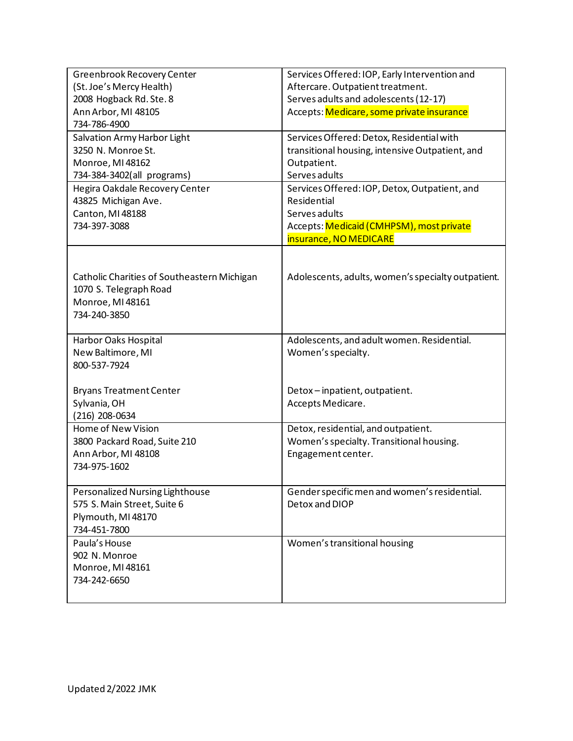| Greenbrook Recovery Center<br>(St. Joe's Mercy Health)<br>2008 Hogback Rd. Ste. 8<br>Ann Arbor, MI 48105<br>734-786-4900 | Services Offered: IOP, Early Intervention and<br>Aftercare. Outpatient treatment.<br>Serves adults and adolescents (12-17)<br>Accepts: Medicare, some private insurance |
|--------------------------------------------------------------------------------------------------------------------------|-------------------------------------------------------------------------------------------------------------------------------------------------------------------------|
| Salvation Army Harbor Light<br>3250 N. Monroe St.<br>Monroe, MI 48162<br>734-384-3402(all programs)                      | Services Offered: Detox, Residential with<br>transitional housing, intensive Outpatient, and<br>Outpatient.<br>Serves adults                                            |
| Hegira Oakdale Recovery Center<br>43825 Michigan Ave.<br>Canton, MI 48188<br>734-397-3088                                | Services Offered: IOP, Detox, Outpatient, and<br>Residential<br>Serves adults<br>Accepts: Medicaid (CMHPSM), most private<br>insurance, NO MEDICARE                     |
| Catholic Charities of Southeastern Michigan<br>1070 S. Telegraph Road<br>Monroe, MI 48161<br>734-240-3850                | Adolescents, adults, women's specialty outpatient.                                                                                                                      |
| Harbor Oaks Hospital<br>New Baltimore, MI<br>800-537-7924                                                                | Adolescents, and adult women. Residential.<br>Women's specialty.                                                                                                        |
| <b>Bryans Treatment Center</b><br>Sylvania, OH<br>$(216)$ 208-0634                                                       | Detox-inpatient, outpatient.<br>Accepts Medicare.                                                                                                                       |
| Home of New Vision<br>3800 Packard Road, Suite 210<br>Ann Arbor, MI 48108<br>734-975-1602                                | Detox, residential, and outpatient.<br>Women's specialty. Transitional housing.<br>Engagement center.                                                                   |
| Personalized Nursing Lighthouse<br>575 S. Main Street, Suite 6<br>Plymouth, MI 48170<br>734-451-7800                     | Gender specific men and women's residential.<br>Detox and DIOP                                                                                                          |
| Paula's House<br>902 N. Monroe<br>Monroe, MI 48161<br>734-242-6650                                                       | Women's transitional housing                                                                                                                                            |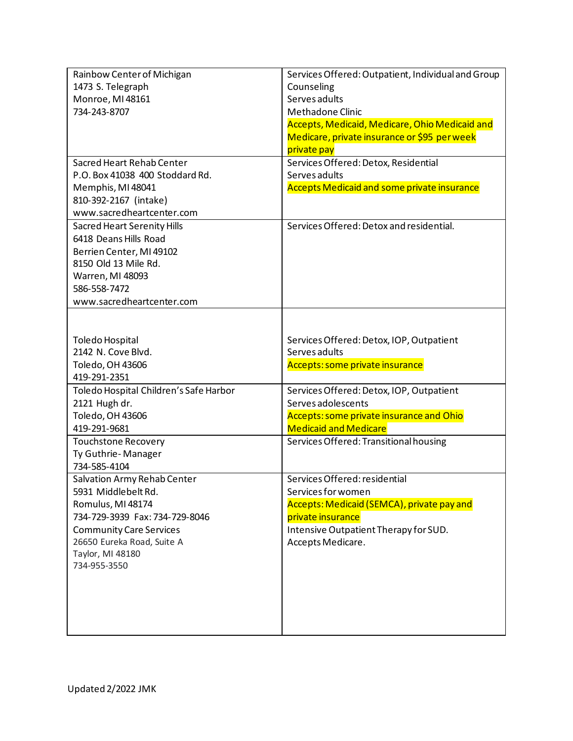| Rainbow Center of Michigan<br>1473 S. Telegraph<br>Monroe, MI 48161<br>734-243-8707                                                                                                                           | Services Offered: Outpatient, Individual and Group<br>Counseling<br>Serves adults<br>Methadone Clinic<br>Accepts, Medicaid, Medicare, Ohio Medicaid and                              |
|---------------------------------------------------------------------------------------------------------------------------------------------------------------------------------------------------------------|--------------------------------------------------------------------------------------------------------------------------------------------------------------------------------------|
|                                                                                                                                                                                                               | Medicare, private insurance or \$95 per week<br>private pay                                                                                                                          |
| Sacred Heart Rehab Center<br>P.O. Box 41038 400 Stoddard Rd.<br>Memphis, MI 48041<br>810-392-2167 (intake)<br>www.sacredheartcenter.com                                                                       | Services Offered: Detox, Residential<br>Serves adults<br><b>Accepts Medicaid and some private insurance</b>                                                                          |
| <b>Sacred Heart Serenity Hills</b><br>6418 Deans Hills Road<br>Berrien Center, MI 49102<br>8150 Old 13 Mile Rd.<br>Warren, MI 48093<br>586-558-7472<br>www.sacredheartcenter.com                              | Services Offered: Detox and residential.                                                                                                                                             |
| Toledo Hospital<br>2142 N. Cove Blvd.<br>Toledo, OH 43606<br>419-291-2351                                                                                                                                     | Services Offered: Detox, IOP, Outpatient<br>Serves adults<br>Accepts: some private insurance                                                                                         |
| Toledo Hospital Children's Safe Harbor<br>2121 Hugh dr.<br>Toledo, OH 43606<br>419-291-9681                                                                                                                   | Services Offered: Detox, IOP, Outpatient<br>Serves adolescents<br>Accepts: some private insurance and Ohio<br><b>Medicaid and Medicare</b>                                           |
| <b>Touchstone Recovery</b><br>Ty Guthrie-Manager<br>734-585-4104                                                                                                                                              | Services Offered: Transitional housing                                                                                                                                               |
| Salvation Army Rehab Center<br>5931 Middlebelt Rd.<br>Romulus, MI 48174<br>734-729-3939 Fax: 734-729-8046<br><b>Community Care Services</b><br>26650 Eureka Road, Suite A<br>Taylor, MI 48180<br>734-955-3550 | Services Offered: residential<br>Services for women<br>Accepts: Medicaid (SEMCA), private pay and<br>private insurance<br>Intensive Outpatient Therapy for SUD.<br>Accepts Medicare. |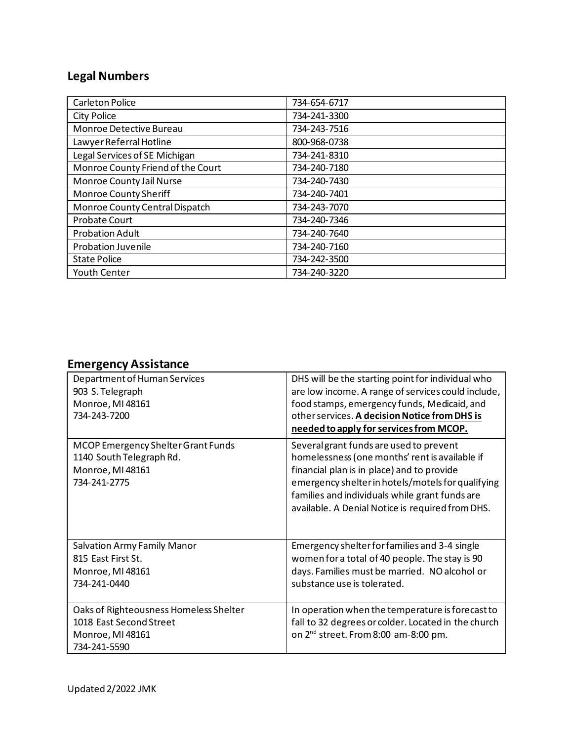# **Legal Numbers**

| <b>Carleton Police</b>            | 734-654-6717 |
|-----------------------------------|--------------|
| City Police                       | 734-241-3300 |
| Monroe Detective Bureau           | 734-243-7516 |
| Lawyer Referral Hotline           | 800-968-0738 |
| Legal Services of SE Michigan     | 734-241-8310 |
| Monroe County Friend of the Court | 734-240-7180 |
| Monroe County Jail Nurse          | 734-240-7430 |
| Monroe County Sheriff             | 734-240-7401 |
| Monroe County Central Dispatch    | 734-243-7070 |
| <b>Probate Court</b>              | 734-240-7346 |
| <b>Probation Adult</b>            | 734-240-7640 |
| Probation Juvenile                | 734-240-7160 |
| <b>State Police</b>               | 734-242-3500 |
| <b>Youth Center</b>               | 734-240-3220 |

# **Emergency Assistance**

| Department of Human Services<br>903 S. Telegraph<br>Monroe, MI 48161<br>734-243-7200                  | DHS will be the starting point for individual who<br>are low income. A range of services could include,<br>food stamps, emergency funds, Medicaid, and<br>other services. A decision Notice from DHS is<br>needed to apply for services from MCOP.                                                 |
|-------------------------------------------------------------------------------------------------------|----------------------------------------------------------------------------------------------------------------------------------------------------------------------------------------------------------------------------------------------------------------------------------------------------|
| MCOP Emergency Shelter Grant Funds<br>1140 South Telegraph Rd.<br>Monroe, MI 48161<br>734-241-2775    | Several grant funds are used to prevent<br>homelessness (one months' rent is available if<br>financial plan is in place) and to provide<br>emergency shelter in hotels/motels for qualifying<br>families and individuals while grant funds are<br>available. A Denial Notice is required from DHS. |
| <b>Salvation Army Family Manor</b><br>815 East First St.<br>Monroe, MI 48161<br>734-241-0440          | Emergency shelter for families and 3-4 single<br>women for a total of 40 people. The stay is 90<br>days. Families must be married. NO alcohol or<br>substance use is tolerated.                                                                                                                    |
| Oaks of Righteousness Homeless Shelter<br>1018 East Second Street<br>Monroe, MI 48161<br>734-241-5590 | In operation when the temperature is forecast to<br>fall to 32 degrees or colder. Located in the church<br>on 2 <sup>nd</sup> street. From 8:00 am-8:00 pm.                                                                                                                                        |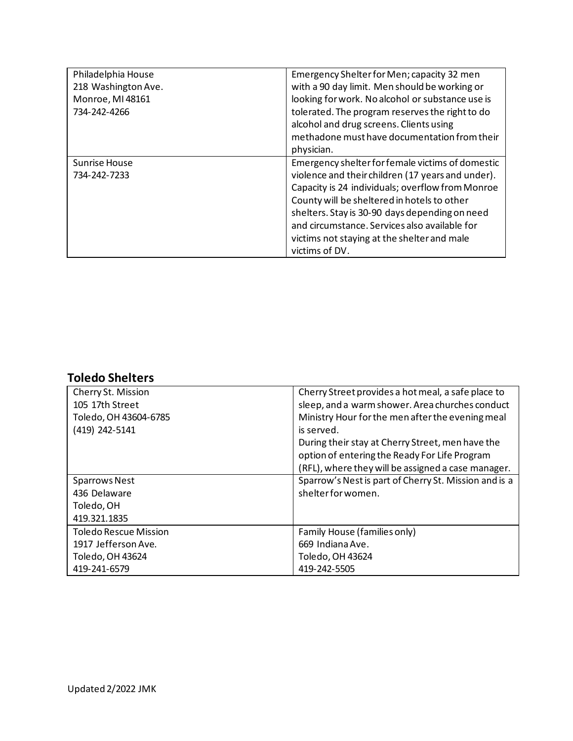| Philadelphia House                   | Emergency Shelter for Men; capacity 32 men                                                                                                                                                                                                                 |
|--------------------------------------|------------------------------------------------------------------------------------------------------------------------------------------------------------------------------------------------------------------------------------------------------------|
| 218 Washington Ave.                  | with a 90 day limit. Men should be working or                                                                                                                                                                                                              |
| Monroe, MI 48161                     | looking for work. No alcohol or substance use is                                                                                                                                                                                                           |
| 734-242-4266                         | tolerated. The program reserves the right to do                                                                                                                                                                                                            |
|                                      | alcohol and drug screens. Clients using                                                                                                                                                                                                                    |
|                                      | methadone must have documentation from their                                                                                                                                                                                                               |
|                                      | physician.                                                                                                                                                                                                                                                 |
| <b>Sunrise House</b><br>734-242-7233 | Emergency shelter for female victims of domestic<br>violence and their children (17 years and under).<br>Capacity is 24 individuals; overflow from Monroe<br>County will be sheltered in hotels to other<br>shelters. Stay is 30-90 days depending on need |
|                                      | and circumstance. Services also available for                                                                                                                                                                                                              |
|                                      | victims not staying at the shelter and male                                                                                                                                                                                                                |
|                                      | victims of DV.                                                                                                                                                                                                                                             |

## **Toledo Shelters**

| Cherry St. Mission    | Cherry Street provides a hot meal, a safe place to    |
|-----------------------|-------------------------------------------------------|
| 105 17th Street       | sleep, and a warm shower. Area churches conduct       |
| Toledo, OH 43604-6785 | Ministry Hour for the men after the evening meal      |
| (419) 242-5141        | is served.                                            |
|                       | During their stay at Cherry Street, men have the      |
|                       | option of entering the Ready For Life Program         |
|                       | (RFL), where they will be assigned a case manager.    |
| <b>Sparrows Nest</b>  | Sparrow's Nest is part of Cherry St. Mission and is a |
| 436 Delaware          | shelter for women.                                    |
| Toledo, OH            |                                                       |
| 419.321.1835          |                                                       |
| Toledo Rescue Mission | Family House (families only)                          |
| 1917 Jefferson Ave.   | 669 Indiana Ave.                                      |
| Toledo, OH 43624      | Toledo, OH 43624                                      |
| 419-241-6579          | 419-242-5505                                          |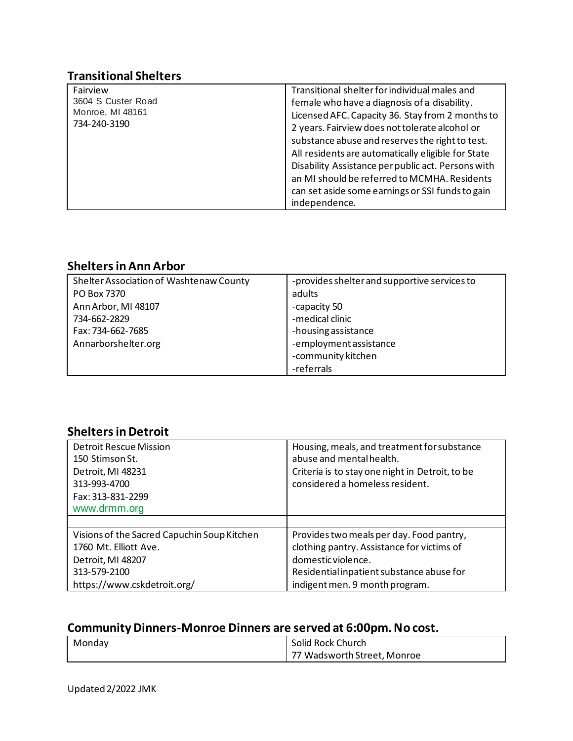### **Transitional Shelters**

| Fairview           | Transitional shelter for individual males and      |
|--------------------|----------------------------------------------------|
| 3604 S Custer Road | female who have a diagnosis of a disability.       |
| Monroe, MI 48161   | Licensed AFC. Capacity 36. Stay from 2 months to   |
| 734-240-3190       | 2 years. Fairview does not tolerate alcohol or     |
|                    | substance abuse and reserves the right to test.    |
|                    | All residents are automatically eligible for State |
|                    | Disability Assistance per public act. Persons with |
|                    | an MI should be referred to MCMHA. Residents       |
|                    | can set aside some earnings or SSI funds to gain   |
|                    | independence.                                      |

### **Shelters in Ann Arbor**

| Shelter Association of Washtenaw County | -provides shelter and supportive services to |
|-----------------------------------------|----------------------------------------------|
| PO Box 7370                             | adults                                       |
| Ann Arbor, MI 48107                     | -capacity 50                                 |
| 734-662-2829                            | -medical clinic                              |
| Fax: 734-662-7685                       | -housing assistance                          |
| Annarborshelter.org                     | -employment assistance                       |
|                                         | -community kitchen                           |
|                                         | -referrals                                   |

### **Shelters in Detroit**

| <b>Detroit Rescue Mission</b>               | Housing, meals, and treatment for substance     |
|---------------------------------------------|-------------------------------------------------|
| 150 Stimson St.                             | abuse and mental health.                        |
| Detroit, MI 48231                           | Criteria is to stay one night in Detroit, to be |
| 313-993-4700                                | considered a homeless resident.                 |
| Fax: 313-831-2299                           |                                                 |
| www.drmm.org                                |                                                 |
|                                             |                                                 |
| Visions of the Sacred Capuchin Soup Kitchen | Provides two meals per day. Food pantry,        |
| 1760 Mt. Elliott Ave.                       | clothing pantry. Assistance for victims of      |
| Detroit, MI 48207                           | domestic violence.                              |
| 313-579-2100                                | Residential inpatient substance abuse for       |
| https://www.cskdetroit.org/                 | indigent men. 9 month program.                  |

## **Community Dinners-Monroe Dinners are served at 6:00pm. No cost.**

| Monday | Solid Rock Church           |
|--------|-----------------------------|
|        | 77 Wadsworth Street, Monroe |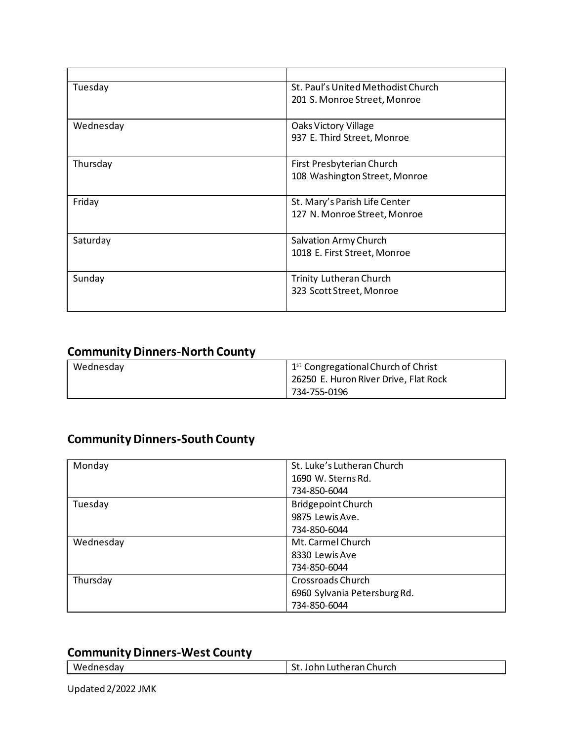| Tuesday   | St. Paul's United Methodist Church |
|-----------|------------------------------------|
|           | 201 S. Monroe Street, Monroe       |
|           |                                    |
| Wednesday | Oaks Victory Village               |
|           | 937 E. Third Street, Monroe        |
|           |                                    |
| Thursday  | First Presbyterian Church          |
|           | 108 Washington Street, Monroe      |
|           |                                    |
| Friday    | St. Mary's Parish Life Center      |
|           | 127 N. Monroe Street, Monroe       |
|           |                                    |
| Saturday  | Salvation Army Church              |
|           | 1018 E. First Street, Monroe       |
|           |                                    |
| Sunday    | <b>Trinity Lutheran Church</b>     |
|           | 323 Scott Street, Monroe           |
|           |                                    |

### **Community Dinners-North County**

| Wednesday | 1 <sup>st</sup> Congregational Church of Christ |
|-----------|-------------------------------------------------|
|           | 26250 E. Huron River Drive, Flat Rock           |
|           | 734-755-0196                                    |

### **Community Dinners-South County**

| Monday    | St. Luke's Lutheran Church   |
|-----------|------------------------------|
|           | 1690 W. Sterns Rd.           |
|           | 734-850-6044                 |
| Tuesday   | <b>Bridgepoint Church</b>    |
|           | 9875 Lewis Ave.              |
|           | 734-850-6044                 |
| Wednesday | Mt. Carmel Church            |
|           | 8330 Lewis Ave               |
|           | 734-850-6044                 |
| Thursday  | Crossroads Church            |
|           | 6960 Sylvania Petersburg Rd. |
|           | 734-850-6044                 |

## **Community Dinners-West County**

| Wednesdav | theran Church<br>.<br>LU I<br>. |
|-----------|---------------------------------|
|-----------|---------------------------------|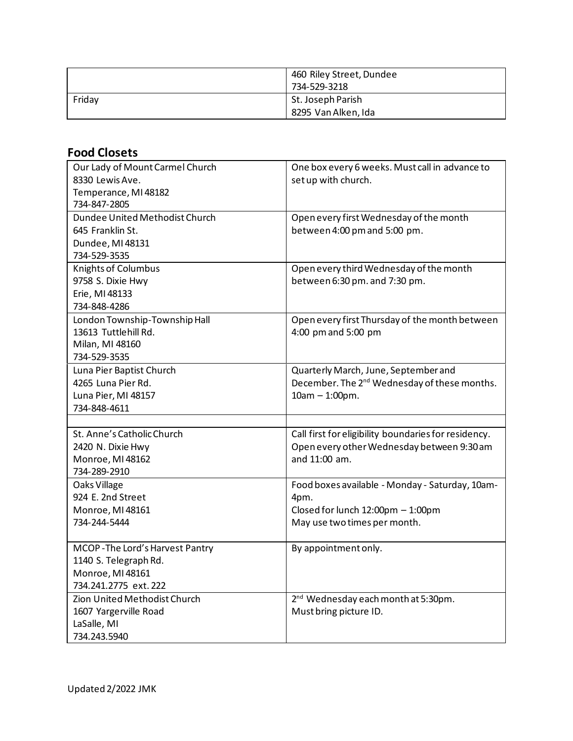|        | 460 Riley Street, Dundee<br>734-529-3218 |
|--------|------------------------------------------|
| Friday | St. Joseph Parish<br>8295 Van Alken, Ida |

## **Food Closets**

| Our Lady of Mount Carmel Church<br>8330 Lewis Ave.<br>Temperance, MI 48182<br>734-847-2805           | One box every 6 weeks. Must call in advance to<br>set up with church.                                                        |
|------------------------------------------------------------------------------------------------------|------------------------------------------------------------------------------------------------------------------------------|
| Dundee United Methodist Church<br>645 Franklin St.<br>Dundee, MI 48131<br>734-529-3535               | Open every first Wednesday of the month<br>between 4:00 pm and 5:00 pm.                                                      |
| <b>Knights of Columbus</b><br>9758 S. Dixie Hwy<br>Erie, MI 48133<br>734-848-4286                    | Open every third Wednesday of the month<br>between 6:30 pm. and 7:30 pm.                                                     |
| London Township-Township Hall<br>13613 Tuttlehill Rd.<br>Milan, MI 48160<br>734-529-3535             | Open every first Thursday of the month between<br>4:00 pm and 5:00 pm                                                        |
| Luna Pier Baptist Church<br>4265 Luna Pier Rd.<br>Luna Pier, MI 48157<br>734-848-4611                | Quarterly March, June, September and<br>December. The 2 <sup>nd</sup> Wednesday of these months.<br>$10am - 1:00pm.$         |
|                                                                                                      |                                                                                                                              |
| St. Anne's Catholic Church<br>2420 N. Dixie Hwy<br>Monroe, MI 48162<br>734-289-2910                  | Call first for eligibility boundaries for residency.<br>Open every other Wednesday between 9:30 am<br>and 11:00 am.          |
| Oaks Village<br>924 E. 2nd Street<br>Monroe, MI 48161<br>734-244-5444                                | Food boxes available - Monday - Saturday, 10am-<br>4pm.<br>Closed for lunch 12:00pm - 1:00pm<br>May use two times per month. |
| MCOP-The Lord's Harvest Pantry<br>1140 S. Telegraph Rd.<br>Monroe, MI 48161<br>734.241.2775 ext. 222 | By appointment only.                                                                                                         |
| Zion United Methodist Church<br>1607 Yargerville Road<br>LaSalle, MI<br>734.243.5940                 | 2 <sup>nd</sup> Wednesday each month at 5:30pm.<br>Must bring picture ID.                                                    |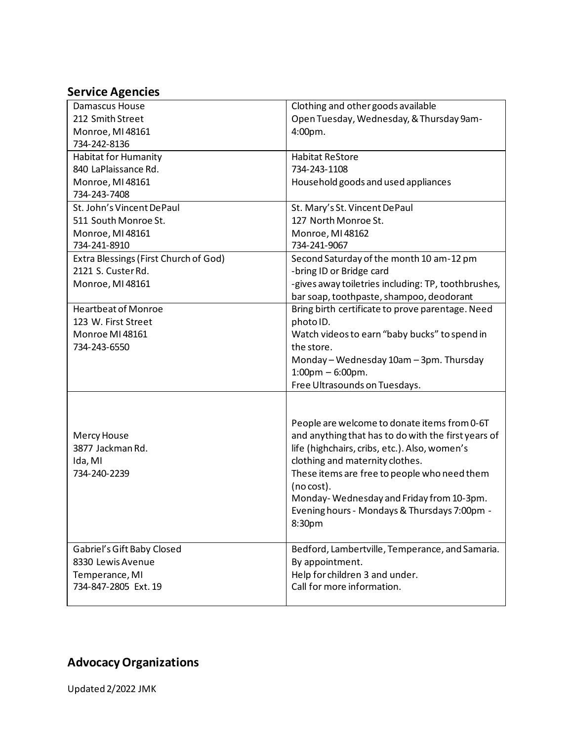#### **Service Agencies**

| Damascus House                        | Clothing and other goods available                  |
|---------------------------------------|-----------------------------------------------------|
| 212 Smith Street                      | Open Tuesday, Wednesday, & Thursday 9am-            |
| Monroe, MI 48161                      | 4:00pm.                                             |
| 734-242-8136                          |                                                     |
| <b>Habitat for Humanity</b>           | <b>Habitat ReStore</b>                              |
| 840 LaPlaissance Rd.                  | 734-243-1108                                        |
| Monroe, MI 48161                      | Household goods and used appliances                 |
| 734-243-7408                          |                                                     |
| St. John's Vincent DePaul             | St. Mary's St. Vincent DePaul                       |
| 511 South Monroe St.                  | 127 North Monroe St.                                |
| Monroe, MI 48161                      | Monroe, MI 48162                                    |
| 734-241-8910                          | 734-241-9067                                        |
| Extra Blessings (First Church of God) | Second Saturday of the month 10 am-12 pm            |
| 2121 S. Custer Rd.                    | -bring ID or Bridge card                            |
| Monroe, MI 48161                      | -gives away toiletries including: TP, toothbrushes, |
|                                       | bar soap, toothpaste, shampoo, deodorant            |
| <b>Heartbeat of Monroe</b>            | Bring birth certificate to prove parentage. Need    |
| 123 W. First Street                   | photo ID.                                           |
| Monroe MI 48161                       | Watch videos to earn "baby bucks" to spend in       |
| 734-243-6550                          | the store.                                          |
|                                       | Monday - Wednesday 10am - 3pm. Thursday             |
|                                       | $1:00$ pm $-6:00$ pm.                               |
|                                       | Free Ultrasounds on Tuesdays.                       |
|                                       |                                                     |
|                                       |                                                     |
|                                       | People are welcome to donate items from 0-6T        |
| Mercy House                           | and anything that has to do with the first years of |
| 3877 Jackman Rd.                      | life (highchairs, cribs, etc.). Also, women's       |
| Ida, MI                               | clothing and maternity clothes.                     |
| 734-240-2239                          | These items are free to people who need them        |
|                                       | (no cost).                                          |
|                                       | Monday-Wednesday and Friday from 10-3pm.            |
|                                       | Evening hours - Mondays & Thursdays 7:00pm -        |
|                                       | 8:30pm                                              |
|                                       |                                                     |
| Gabriel's Gift Baby Closed            | Bedford, Lambertville, Temperance, and Samaria.     |
| 8330 Lewis Avenue                     | By appointment.                                     |
| Temperance, MI                        | Help for children 3 and under.                      |
| 734-847-2805 Ext. 19                  | Call for more information.                          |
|                                       |                                                     |

# **Advocacy Organizations**

Updated 2/2022 JMK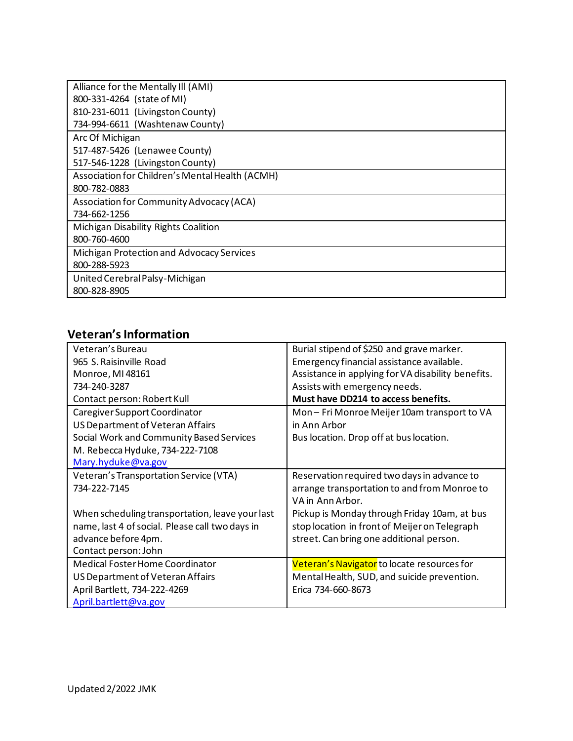| Alliance for the Mentally III (AMI)             |
|-------------------------------------------------|
| 800-331-4264 (state of MI)                      |
| 810-231-6011 (Livingston County)                |
| 734-994-6611 (Washtenaw County)                 |
| Arc Of Michigan                                 |
| 517-487-5426 (Lenawee County)                   |
| 517-546-1228 (Livingston County)                |
| Association for Children's Mental Health (ACMH) |
| 800-782-0883                                    |
| Association for Community Advocacy (ACA)        |
| 734-662-1256                                    |
| Michigan Disability Rights Coalition            |
| 800-760-4600                                    |
| Michigan Protection and Advocacy Services       |
| 800-288-5923                                    |
| United Cerebral Palsy-Michigan                  |
| 800-828-8905                                    |

### **Veteran's Information**

| Veteran's Bureau                                | Burial stipend of \$250 and grave marker.          |
|-------------------------------------------------|----------------------------------------------------|
| 965 S. Raisinville Road                         | Emergency financial assistance available.          |
| Monroe, MI 48161                                | Assistance in applying for VA disability benefits. |
| 734-240-3287                                    | Assists with emergency needs.                      |
| Contact person: Robert Kull                     | Must have DD214 to access benefits.                |
| Caregiver Support Coordinator                   | Mon-Fri Monroe Meijer 10am transport to VA         |
| US Department of Veteran Affairs                | in Ann Arbor                                       |
| Social Work and Community Based Services        | Bus location. Drop off at bus location.            |
| M. Rebecca Hyduke, 734-222-7108                 |                                                    |
| Mary.hyduke@va.gov                              |                                                    |
| Veteran's Transportation Service (VTA)          | Reservation required two days in advance to        |
| 734-222-7145                                    | arrange transportation to and from Monroe to       |
|                                                 | VA in Ann Arbor.                                   |
| When scheduling transportation, leave your last | Pickup is Monday through Friday 10am, at bus       |
| name, last 4 of social. Please call two days in | stop location in front of Meijer on Telegraph      |
| advance before 4pm.                             | street. Can bring one additional person.           |
| Contact person: John                            |                                                    |
| Medical Foster Home Coordinator                 | Veteran's Navigator to locate resources for        |
| US Department of Veteran Affairs                | Mental Health, SUD, and suicide prevention.        |
| April Bartlett, 734-222-4269                    | Erica 734-660-8673                                 |
| April.bartlett@va.gov                           |                                                    |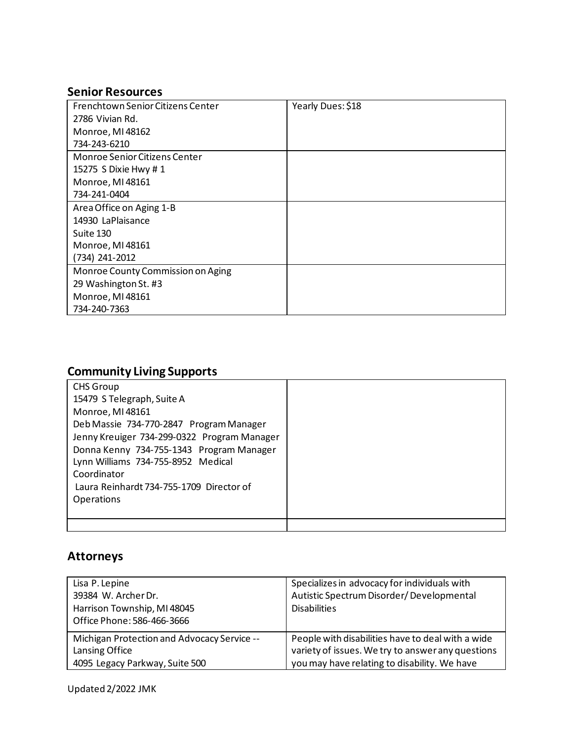### **Senior Resources**

| Frenchtown Senior Citizens Center | Yearly Dues: \$18 |
|-----------------------------------|-------------------|
| 2786 Vivian Rd.                   |                   |
| Monroe, MI 48162                  |                   |
| 734-243-6210                      |                   |
| Monroe Senior Citizens Center     |                   |
| 15275 S Dixie Hwy # 1             |                   |
| Monroe, MI 48161                  |                   |
| 734-241-0404                      |                   |
| Area Office on Aging 1-B          |                   |
| 14930 LaPlaisance                 |                   |
| Suite 130                         |                   |
| Monroe, MI 48161                  |                   |
| (734) 241-2012                    |                   |
| Monroe County Commission on Aging |                   |
| 29 Washington St. #3              |                   |
| Monroe, MI 48161                  |                   |
| 734-240-7363                      |                   |

# **Community Living Supports**

| <b>CHS Group</b>                            |  |
|---------------------------------------------|--|
| 15479 S Telegraph, Suite A                  |  |
| Monroe, MI 48161                            |  |
| Deb Massie 734-770-2847 Program Manager     |  |
| Jenny Kreuiger 734-299-0322 Program Manager |  |
| Donna Kenny 734-755-1343 Program Manager    |  |
| Lynn Williams 734-755-8952 Medical          |  |
| Coordinator                                 |  |
| Laura Reinhardt 734-755-1709 Director of    |  |
| <b>Operations</b>                           |  |
|                                             |  |
|                                             |  |

### **Attorneys**

| Lisa P. Lepine<br>39384 W. Archer Dr.<br>Harrison Township, MI 48045<br>Office Phone: 586-466-3666 | Specializes in advocacy for individuals with<br>Autistic Spectrum Disorder/Developmental<br><b>Disabilities</b> |
|----------------------------------------------------------------------------------------------------|-----------------------------------------------------------------------------------------------------------------|
| Michigan Protection and Advocacy Service --                                                        | People with disabilities have to deal with a wide                                                               |
| Lansing Office                                                                                     | variety of issues. We try to answer any questions                                                               |
| 4095 Legacy Parkway, Suite 500                                                                     | you may have relating to disability. We have                                                                    |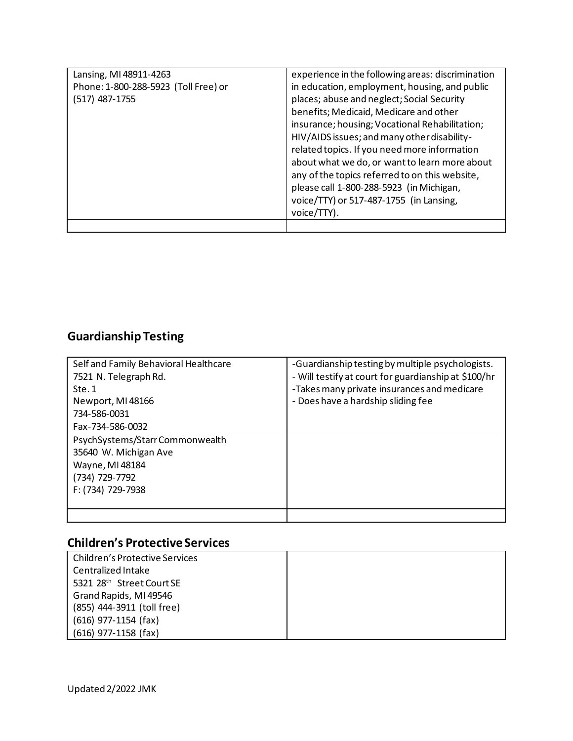| Lansing, MI 48911-4263               | experience in the following areas: discrimination |
|--------------------------------------|---------------------------------------------------|
| Phone: 1-800-288-5923 (Toll Free) or | in education, employment, housing, and public     |
| (517) 487-1755                       | places; abuse and neglect; Social Security        |
|                                      | benefits; Medicaid, Medicare and other            |
|                                      | insurance; housing; Vocational Rehabilitation;    |
|                                      | HIV/AIDS issues; and many other disability-       |
|                                      | related topics. If you need more information      |
|                                      | about what we do, or want to learn more about     |
|                                      | any of the topics referred to on this website,    |
|                                      | please call 1-800-288-5923 (in Michigan,          |
|                                      | voice/TTY) or 517-487-1755 (in Lansing,           |
|                                      | voice/TTY).                                       |
|                                      |                                                   |

# **Guardianship Testing**

| Self and Family Behavioral Healthcare<br>7521 N. Telegraph Rd. | -Guardianship testing by multiple psychologists.<br>- Will testify at court for guardianship at \$100/hr |
|----------------------------------------------------------------|----------------------------------------------------------------------------------------------------------|
| Ste.1                                                          | -Takes many private insurances and medicare                                                              |
| Newport, MI 48166                                              | - Does have a hardship sliding fee                                                                       |
| 734-586-0031                                                   |                                                                                                          |
| Fax-734-586-0032                                               |                                                                                                          |
| PsychSystems/StarrCommonwealth                                 |                                                                                                          |
| 35640 W. Michigan Ave                                          |                                                                                                          |
| Wayne, MI 48184                                                |                                                                                                          |
| (734) 729-7792                                                 |                                                                                                          |
| F: (734) 729-7938                                              |                                                                                                          |
|                                                                |                                                                                                          |
|                                                                |                                                                                                          |

# **Children's Protective Services**

| Children's Protective Services |  |
|--------------------------------|--|
| Centralized Intake             |  |
| 5321 28th Street Court SE      |  |
| Grand Rapids, MI 49546         |  |
| (855) 444-3911 (toll free)     |  |
| $(616)$ 977-1154 (fax)         |  |
| $(616)$ 977-1158 (fax)         |  |